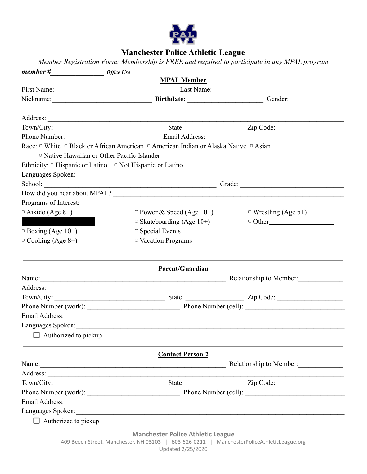

## **Manchester Police Athletic League**

*Member Registration Form: Membership is FREE and required to participate in any MPAL program*

|                                                                      | <b>MPAL Member</b>                                                                   |                                            |  |  |
|----------------------------------------------------------------------|--------------------------------------------------------------------------------------|--------------------------------------------|--|--|
|                                                                      |                                                                                      |                                            |  |  |
|                                                                      |                                                                                      | Gender:                                    |  |  |
|                                                                      |                                                                                      |                                            |  |  |
|                                                                      |                                                                                      |                                            |  |  |
|                                                                      |                                                                                      |                                            |  |  |
|                                                                      | Race: □ White □ Black or African American □ American Indian or Alaska Native □ Asian |                                            |  |  |
| □ Native Hawaiian or Other Pacific Islander                          |                                                                                      |                                            |  |  |
| Ethnicity: $\circ$ Hispanic or Latino $\circ$ Not Hispanic or Latino |                                                                                      |                                            |  |  |
|                                                                      |                                                                                      |                                            |  |  |
|                                                                      |                                                                                      |                                            |  |  |
|                                                                      |                                                                                      |                                            |  |  |
| Programs of Interest:                                                |                                                                                      |                                            |  |  |
| $\circ$ Aikido (Age 8+)                                              | $\circ$ Power & Speed (Age 10+)                                                      | $\circ$ Wrestling (Age 5+)                 |  |  |
|                                                                      | $\circ$ Skateboarding (Age 10+)                                                      | $\Box$ Other                               |  |  |
| $\circ$ Boxing (Age 10+)                                             | □ Special Events                                                                     |                                            |  |  |
| $\circ$ Cooking (Age 8+)                                             | <sup>o</sup> Vacation Programs                                                       |                                            |  |  |
|                                                                      | Parent/Guardian                                                                      |                                            |  |  |
|                                                                      |                                                                                      | Name: <u>Name:</u> Relationship to Member: |  |  |
|                                                                      |                                                                                      |                                            |  |  |
|                                                                      |                                                                                      |                                            |  |  |
|                                                                      |                                                                                      | Phone Number (work): Phone Number (cell):  |  |  |
|                                                                      |                                                                                      |                                            |  |  |
|                                                                      | Languages Spoken:                                                                    |                                            |  |  |
| $\Box$ Authorized to pickup                                          |                                                                                      |                                            |  |  |
|                                                                      |                                                                                      |                                            |  |  |
|                                                                      |                                                                                      |                                            |  |  |
|                                                                      | <b>Contact Person 2</b>                                                              |                                            |  |  |
|                                                                      |                                                                                      | Relationship to Member:                    |  |  |
|                                                                      |                                                                                      |                                            |  |  |
|                                                                      |                                                                                      |                                            |  |  |
|                                                                      |                                                                                      |                                            |  |  |
|                                                                      |                                                                                      |                                            |  |  |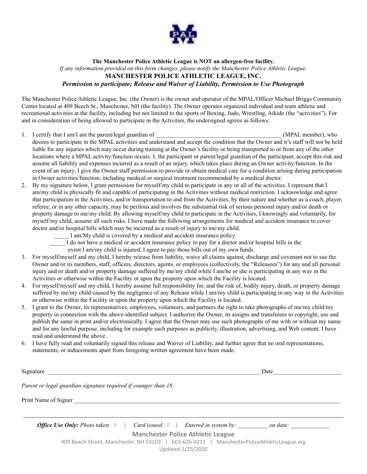

## **The Manchester Police Athletic League is NOT an allergen-free facility.** *If any information provided on this form changes, please notify the Manchester Police Athletic League.* **MANCHESTER POLICE ATHLETIC LEAGUE, INC.** *Permission to participate; Release and Waiver of Liability, Permission to Use Photograph*

The Manchester Police Athletic League, Inc. (the Owner) is the owner and operator of the MPAL/Officer Michael Briggs Community Center located at 409 Beech St., Manchester, NH (the facility). The Owner operates organized individual and team athletic and recreational activities at the facility, including but not limited to the sports of Boxing, Judo, Wrestling, Aikido (the "activities"). For and in consideration of being allowed to participate in the Activities, the undersigned agrees as follows:

- 1. I certify that I am/I am the parent/legal guardian of  $(MPAL$  member), who desires to participate in the MPAL activities and understand and accept the condition that the Owner and it's staff will not be held liable for any injuries which may occur during training at the Owner's facility or being transported to or from any of the other locations where a MPAL activity/function occurs. I, the participant or parent/legal guardian of the participant, accept this risk and assume all liability and expenses incurred as a result of an injury, which takes place during an Owner activity/function. In the event of an injury, I give the Owner staff permission to provide or obtain medical care for a condition arising during participation in Owner activities/function, including medical or surgical treatment recommended by a medical doctor.
- 2. By my signature below, I grant permission for myself/my child to participate in any or all of the activities. I represent that I am/my child is physically fit and capable of participating in the Activities without medical restriction. I acknowledge and agree that participation in the Activities, and/or transportation to and from the Activities, by their nature and whether as a coach, player, referee, or in any other capacity, may be perilous and involves the substantial risk of serious personal injury and/or death or property damage to me/my child. By allowing myself/my child to participate in the Activities, I knowingly and voluntarily, for myself/my child, assume all such risks. I have made the following arrangements for medical and accident insurance to cover doctor and/or hospital bills which may be incurred as a result of injury to me/my child.
	- \_\_\_\_\_ I am/My child is covered by a medical and accident insurance policy.
	- \_\_\_\_\_ I do not have a medical or accident insurance policy to pay for a doctor and/or hospital bills in the
		- event I am/my child is injured, I agree to pay those bills out of my own funds.
- 3. For myself/myself and my child, I hereby release from liability, waive all claims against, discharge and covenant not to sue the Owner and/or its members, staff, officers, directors, agents, or employees (collectively, the "Releasees") for any and all personal injury and/or death and/or property damage suffered by me/my child while I am/he or she is participating in any way in the Activities or otherwise within the Facility or upon the property upon which the Facility is located.
- 4. For myself/myself and my child, I hereby assume full responsibility for, and the risk of, bodily injury, death, or property damage suffered by me/my child caused by the negligence of any Release while I am/my child is participating in any way in the Activities or otherwise within the Facility or upon the property upon which the Facility is located.
- 5. I grant to the Owner, its representatives, employees, volunteers, and partners the right to take photographs of me/my child/my property in connection with the above-identified subject. I authorize the Owner, its assigns and transferees to copyright, use and publish the same in print and/or electronically. I agree that the Owner may use such photographs of me with or without my name and for any lawful purpose, including for example such purposes as publicity, illustration, advertising, and Web content. I have read and understand the above.
- 6. I have fully read and voluntarily signed this release and Waiver of Liability, and further agree that no oral representations, statements, or inducements apart from foregoing written agreement have been made.

Signature  $\Box$ 

*Parent or legal guardian signature required if younger than 18.*

Print Name of Signer  $\Box$ 

| <b>Office Use Only:</b> Photo taken: $\circ$<br>Card issued: $\circ$   Entered in system by:<br>on date:        |  |  |  |  |  |  |
|-----------------------------------------------------------------------------------------------------------------|--|--|--|--|--|--|
| <b>Manchester Police Athletic League</b>                                                                        |  |  |  |  |  |  |
| 409 Beech Street, Manchester, NH 03103   603-626-0211   ManchesterPoliceAthleticLeague.org<br>Updated 2/25/2020 |  |  |  |  |  |  |